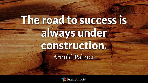## The road to success is always under construction. Arnold Palmer

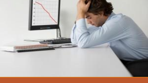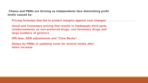**Chains and PBMs are thriving as Independents face diminishing profit levels caused by:**

- **Pricing formulas that fail to protect margins against cost changes**
- **Usual and Customary pricing that results in inadequate third party reimbursements on non-preferred drugs, non-formulary drugs and large numbers of generics**
- **DIR fees, GER adjustments and "Claw Backs"**
- **Delays by PBMs in updating costs for several weeks after items increase**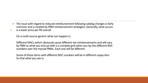$\triangleright$  The issue with regard to reduced reimbursement following catalog changes is fairly common and is created by PBM reimbursement strategies: Generally, what occurs is a lower price per RX overall. ➢

On a multi-source generic what can happen is:

Different MACs which obviously cause different net reimbursements and will vary by PBM so what you end up with is a complex grid when you lay the different NDC numbers over the myriad PBMs. Each one will be different.

Some of those items with different NDC numbers will be in different copay tiers So that what you see is: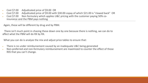- Cost \$7.00 Adjudicated price of \$9.00 OR
- Cost \$7.00 Adjudicated price of \$9.00 with \$30.00 copay of which \$21.00 is "clawed back" OR
- Cost \$7.00 Non formulary which applies U&C pricing with the customer paying 50% coinsurance and the PBM pays nothing

Again, these will be different by drug and by PBM.

There isn't much point in chasing these down one by one because there is nothing, we can do to affect what the PBM will do RX by RX.

What you can do is analyze the mix and adjust price tables to ensure that:

- There is no under reimbursement caused by an inadequate U&C being generated
- Non-preferred and non-formulary reimbursement are maximized to counter the effect of those RXS that you can't change.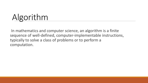## Algorithm

In mathematics and computer science, an algorithm is a finite sequence of well-defined, computer-implementable instructions, typically to solve a class of problems or to perform a computation.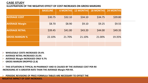## **CASE STUDY**

## **ILLUSTRATION OF THE NEGATIVE EFFECT OF COST INCREASES ON GROSS MARGINS**

|                       | <b>BASELINE</b> | <b>6 MONTHS</b> | <b>12 MONTHS</b> | <b>18 MONTHS</b> | <b>24 MONTHS</b> |
|-----------------------|-----------------|-----------------|------------------|------------------|------------------|
| <b>AVERAGE COST</b>   | \$30.75         | \$32.10         | \$34.10          | \$34.75          | \$39.80          |
| <b>AVERAGE Margin</b> | \$8.70          | \$8.90          | \$9.10           | \$9.25           | \$9.55           |
| <b>AVERAGE RETAIL</b> | \$39.45         | \$41.00         | \$43.20          | \$44.00          | \$49.35          |
| <b>GROSS MARGIN %</b> | 22.10%          | 21.70%          | 21.10%           | 21.00%           | 19.35%           |
|                       |                 |                 |                  |                  |                  |

- ➢ **WHOLESALE COSTS INCREASED 29.4%**
- ➢ **AVERAGE RETAIL INCREASED 25.0%**
- ➢ **AVERAGE Margin INCREASED ONLY 9.7%**
- ➢ **GROSS MARGIN DROPPED (2.8)**
- ➢ **THIS SITUATION IS TYPICAL IN PHARMACY AND IS CAUSED BY THE AVERAGE COST PER RX INCREASING AT A GREATER RATE THAN THE AVERAGE Margin PER RX.**

➢ **PERIODIC REVISIONS OF PRICE FORMULA TABLES ARE NECESSARY TO OFFSET THE NEGATIVE IMPACT OF COST INCREASES.**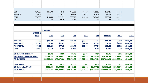| <b>COST</b>                 | 454807          | 446178          | 447541                                                                                       | 478833      | 436317      | 475117      | 458725                                                                                                                                   | 447643       |                |
|-----------------------------|-----------------|-----------------|----------------------------------------------------------------------------------------------|-------------|-------------|-------------|------------------------------------------------------------------------------------------------------------------------------------------|--------------|----------------|
| <b>MARGIN</b>               | 79501           | 78777           | 87618                                                                                        | 87745       | 80618       | 92329       | 98009                                                                                                                                    | 102285       |                |
| <b>RETAIL</b>               | 534308          | 524955          | 535159                                                                                       | 566579      | 515936      | 567447      | 556734                                                                                                                                   | 549929       |                |
| <b>RXS</b>                  | 6780            | 6542            | 6938                                                                                         | 7017        | 6367        | 7290        | 6674                                                                                                                                     | 6525         |                |
|                             |                 |                 |                                                                                              |             |             |             |                                                                                                                                          |              |                |
|                             |                 |                 |                                                                                              |             |             |             |                                                                                                                                          |              |                |
|                             |                 |                 |                                                                                              |             |             |             |                                                                                                                                          |              |                |
|                             |                 | <b>PHARMACY</b> |                                                                                              |             |             |             |                                                                                                                                          |              |                |
|                             | <b>BASELINE</b> |                 |                                                                                              |             |             |             |                                                                                                                                          |              |                |
|                             | June            | <b>Aug</b>      | <b>Sept</b>                                                                                  | <b>Oct</b>  | <b>Nov</b>  | <b>Dec</b>  | <b>Jan2021</b>                                                                                                                           | Feb21        | <b>March</b>   |
|                             |                 |                 |                                                                                              |             |             |             |                                                                                                                                          |              |                |
| <b>AVG COST</b>             | \$67.08         | \$68.20         | \$64.51                                                                                      | \$68.24     | \$68.53     | \$65.17     | \$68.73                                                                                                                                  | \$68.60      | #DIV/0!        |
| <b>AVG MRGN</b>             | \$11.73         | \$12.04         | \$12.63                                                                                      | \$12.50     | \$12.66     | \$12.67     | \$14.69                                                                                                                                  | \$15.68      | #DIV/0!        |
| <b>AVG RETAIL</b>           | \$78.81         | \$80.24         | \$77.13                                                                                      | \$80.74     | \$81.03     | \$77.84     | \$83.42                                                                                                                                  | \$84.28      | #DIV/0!        |
| GM %                        | 0.149           | 0.150           | 0.164                                                                                        | 0.155       | 0.156       | 0.163       | 0.176                                                                                                                                    | 0.186        | #DIV/0!        |
|                             |                 |                 |                                                                                              |             |             |             |                                                                                                                                          |              |                |
| <b>DOLLAR PROFIT PER RX</b> |                 | \$0.32          | \$0.90                                                                                       | \$0.78      | \$0.94      | \$0.94      | \$2.96                                                                                                                                   | \$3.95       | #DIV/0!        |
| PROFIT DOLLAR IMPACT/MO     |                 | \$2,066.74      | \$6,264.32                                                                                   | \$5,464.98  | \$5,959.76  | \$6,847.84  | \$19,750.94                                                                                                                              | \$25,774.08  | <b>#DIV/0!</b> |
| <b>ANNUALIZED</b>           |                 | \$24,800.92     | \$75,171.86                                                                                  | \$65,579.79 | \$71,517.12 | \$82,174.04 | \$237,011.23                                                                                                                             | \$309,288.98 | <b>#DIV/0!</b> |
|                             |                 |                 |                                                                                              |             |             |             |                                                                                                                                          |              |                |
| <b>GM CHANGE</b>            |                 | 0.001           | 0.015                                                                                        | 0.006       | 0.007       | 0.014       | 0.027                                                                                                                                    | 0.037        | #DIV/0!        |
| <b>DOLLAR IMPACT/MO</b>     |                 | \$667.66        | \$7,990.38                                                                                   | \$3,442.32  | \$3,850.62  | \$7,897.17  | \$15,171.18                                                                                                                              | \$20,459.71  | #DIV/0!        |
| <b>ANNUALIZED</b>           |                 |                 | $\left  \frac{58,011.87}{595,884.53} \right $ $\left  \frac{541,307.82}{541,307.82} \right $ |             |             |             | $\left  \frac{207.38}{94,766.00} \right  \left  \frac{245,516.56}{94,766.00} \right  \left  \frac{2182,054.16}{945,5245,516.56} \right $ |              | #DIV/0!        |
|                             |                 |                 |                                                                                              |             |             |             |                                                                                                                                          |              |                |
|                             |                 |                 |                                                                                              |             |             |             |                                                                                                                                          |              |                |
|                             |                 |                 |                                                                                              |             |             |             |                                                                                                                                          |              |                |
|                             |                 |                 |                                                                                              |             |             |             |                                                                                                                                          |              |                |

**The Common Service**